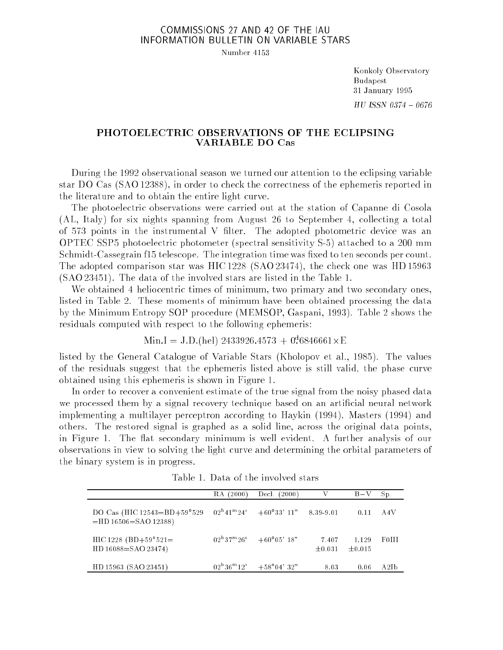## COMMISSIONS 27 AND 42 OF THE IAU INFORMATION BULLETIN ON VARIABLE STARS

Number 4153

Konkoly Observatory Budapest 31 January 1995  $HU$  ISSN 0374 - 0676

## PHOTOELECTRIC OBSERVATIONS OF THE ECLIPSING VARIABLE DO Cas

During the 1992 observational season we turned our attention to the eclipsing variable star DO Cas (SAO 12388), in order to check the correctness of the ephemeris reported in the literature and to obtain the entire light curve.

The photoelectric observations were carried out at the station of Capanne di Cosola (AL, Italy) for six nights spanning from August 26 to September 4, collecting a total of  $573$  points in the instrumental V filter. The adopted photometric device was an OPTEC SSP5 photoelectric photometer (spectral sensitivity S-5) attached to a 200 mm Schmidt-Cassegrain f15 telescope. The integration time was fixed to ten seconds per count. The adopted comparison star was HIC 1228 (SAO 23474), the check one was HD 15963 (SAO 23451). The data of the involved stars are listed in the Table 1.

We obtained 4 heliocentric times of minimum, two primary and two secondary ones. listed in Table 2. These moments of minimum have been obtained processing the data by the Minimum Entropy SOP procedure (MEMSOP, Gaspani, 1993). Table 2 shows the residuals computed with respect to the following ephemeris:

 $\text{min.1} = \text{J} \cdot \text{D} \cdot \text{[nel]}$  2433920.4513 + 0.0840001 X E

listed by the General Catalogue of Variable Stars (Kholopov et al., 1985). The values of the residuals suggest that the ephemeris listed above is still valid, the phase curve obtained using this ephemeris is shown in Figure 1.

In order to recover a convenient estimate of the true signal from the noisy phased data we processed them by a signal recovery technique based on an artificial neural network implementing a multilayer perceptron according to Haykin (1994), Masters (1994) and others. The restored signal is graphed as a solid line, across the original data points, in Figure 1. The at secondary minimum is well evident. A further analysis of our observations in view to solving the light curve and determining the orbital parameters of the binary system is in progress.

|                                                                  | (2000)<br>RA. | (2000)<br>Decl.                                                                                  |                      | $B-V$           | Sp.   |
|------------------------------------------------------------------|---------------|--------------------------------------------------------------------------------------------------|----------------------|-----------------|-------|
| DO Cas (HIC $12543 = BD + 59°529$<br>$=$ HD 16506 $=$ SAO 12388) |               | $02^{\mathrm{h}}41^{\mathrm{m}}24^{\mathrm{s}}$ $+60^{\circ}33^{\circ}11^{\mathrm{m}}$ 8.39-9.01 |                      | 0.11            | -A4V  |
| HIC 1228 (BD+59°521=<br>HD 16088=SAO 23474)                      |               | $02^{\rm h}37^{\rm m}26^{\rm s}$ $+60^{\rm o}05^{\rm o}18^{\rm s}$                               | 7.407<br>$\pm 0.031$ | 1.129<br>±0.015 | F0III |
| HD 15963 (SAO 23451)                                             |               | $02^{\rm h}36^{\rm m}12^{\rm s}$ $+58^{\rm o}04^{\rm s}32^{\rm s}$                               | 8.03                 | 0.06            | A2Ib  |

Table 1. Data of the involved stars